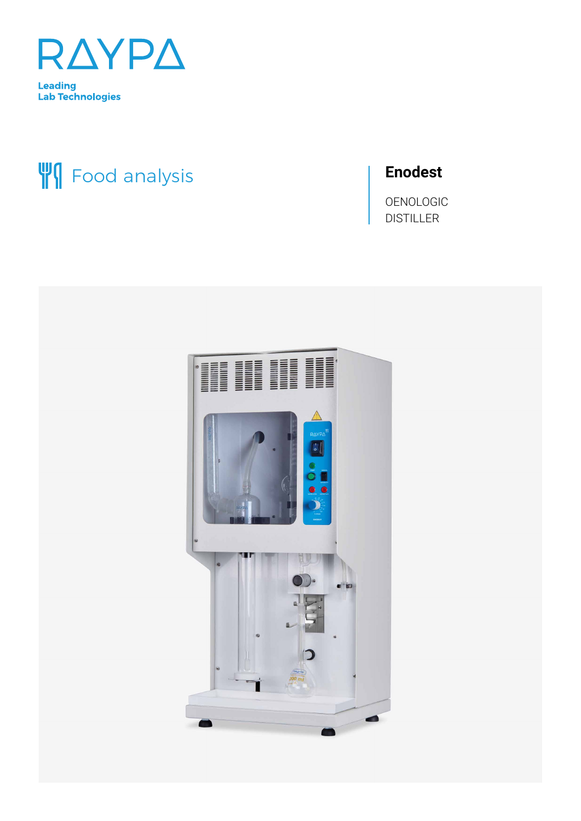

# **WI** Food analysis

# **Enodest**

OENOLOGIC **DISTILLER** 

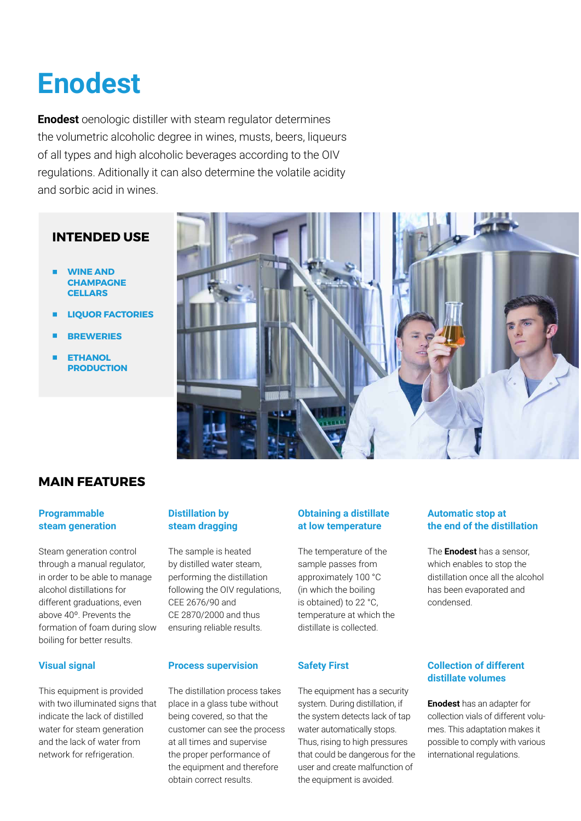# **Enodest**

**Enodest** oenologic distiller with steam regulator determines the volumetric alcoholic degree in wines, musts, beers, liqueurs of all types and high alcoholic beverages according to the OIV regulations. Aditionally it can also determine the volatile acidity and sorbic acid in wines.

### **INTENDED USE**

- **WINE AND CHAMPAGNE CELLARS**
- **LIQUOR FACTORIES**
- **BREWERIES**
- **ETHANOL PRODUCTION**



## **MAIN FEATURES**

#### **Programmable steam generation**

Steam generation control through a manual regulator, in order to be able to manage alcohol distillations for different graduations, even above 40º. Prevents the formation of foam during slow boiling for better results.

#### **Visual signal**

This equipment is provided with two illuminated signs that indicate the lack of distilled water for steam generation and the lack of water from network for refrigeration.

#### **Distillation by steam dragging**

The sample is heated by distilled water steam, performing the distillation following the OIV regulations, CEE 2676/90 and CE 2870/2000 and thus ensuring reliable results.

#### **Process supervision**

The distillation process takes place in a glass tube without being covered, so that the customer can see the process at all times and supervise the proper performance of the equipment and therefore obtain correct results.

#### **Obtaining a distillate at low temperature**

The temperature of the sample passes from approximately 100 °C (in which the boiling is obtained) to 22 °C, temperature at which the distillate is collected.

#### **Safety First**

The equipment has a security system. During distillation, if the system detects lack of tap water automatically stops. Thus, rising to high pressures that could be dangerous for the user and create malfunction of the equipment is avoided.

#### **Automatic stop at the end of the distillation**

The **Enodest** has a sensor, which enables to stop the distillation once all the alcohol has been evaporated and condensed.

#### **Collection of different distillate volumes**

**Enodest** has an adapter for collection vials of different volumes. This adaptation makes it possible to comply with various international regulations.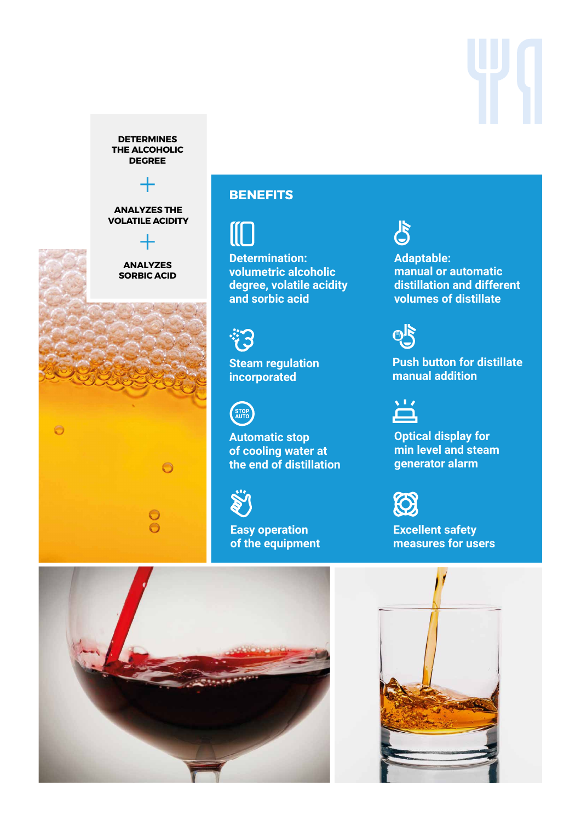**DETERMINES THE ALCOHOLIC DEGREE**

**ANALYZES THE VOLATILE ACIDITY**

### **ANALYZES SORBIC ACID**



# **BENEFITS**

**CO** 

**Determination: volumetric alcoholic degree, volatile acidity and sorbic acid**



**Steam regulation incorporated**



**Automatic stop of cooling water at the end of distillation**



**Easy operation of the equipment**



**Adaptable: manual or automatic distillation and different volumes of distillate**



**Push button for distillate manual addition**



**Optical display for min level and steam generator alarm** 



**Excellent safety measures for users**